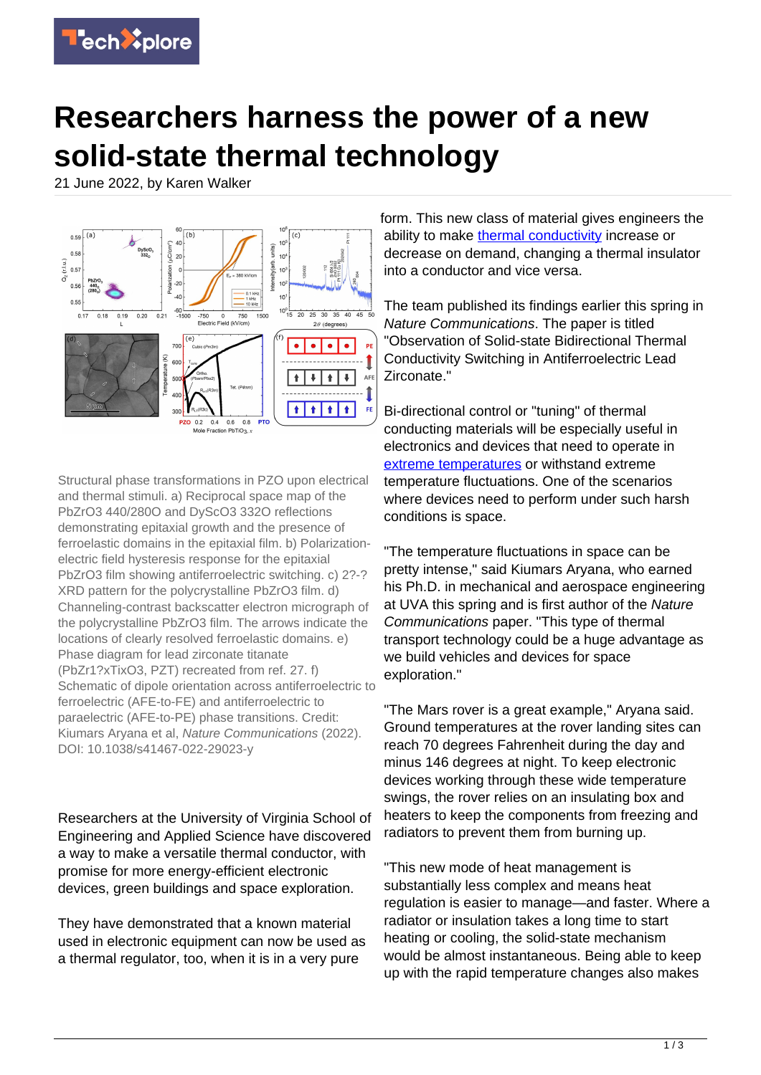

## **Researchers harness the power of a new solid-state thermal technology**

21 June 2022, by Karen Walker



Structural phase transformations in PZO upon electrical and thermal stimuli. a) Reciprocal space map of the PbZrO3 440/280O and DyScO3 332O reflections demonstrating epitaxial growth and the presence of ferroelastic domains in the epitaxial film. b) Polarizationelectric field hysteresis response for the epitaxial PbZrO3 film showing antiferroelectric switching. c) 2?-? XRD pattern for the polycrystalline PbZrO3 film. d) Channeling-contrast backscatter electron micrograph of the polycrystalline PbZrO3 film. The arrows indicate the locations of clearly resolved ferroelastic domains. e) Phase diagram for lead zirconate titanate (PbZr1?xTixO3, PZT) recreated from ref. 27. f) Schematic of dipole orientation across antiferroelectric to ferroelectric (AFE-to-FE) and antiferroelectric to paraelectric (AFE-to-PE) phase transitions. Credit: Kiumars Aryana et al, Nature Communications (2022). DOI: 10.1038/s41467-022-29023-y

Researchers at the University of Virginia School of Engineering and Applied Science have discovered a way to make a versatile thermal conductor, with promise for more energy-efficient electronic devices, green buildings and space exploration.

They have demonstrated that a known material used in electronic equipment can now be used as a thermal regulator, too, when it is in a very pure

form. This new class of material gives engineers the ability to make [thermal conductivity](https://techxplore.com/tags/thermal+conductivity/) increase or decrease on demand, changing a thermal insulator into a conductor and vice versa.

The team published its findings earlier this spring in Nature Communications. The paper is titled "Observation of Solid-state Bidirectional Thermal Conductivity Switching in Antiferroelectric Lead Zirconate."

Bi-directional control or "tuning" of thermal conducting materials will be especially useful in electronics and devices that need to operate in [extreme temperatures](https://techxplore.com/tags/extreme+temperatures/) or withstand extreme temperature fluctuations. One of the scenarios where devices need to perform under such harsh conditions is space.

"The temperature fluctuations in space can be pretty intense," said Kiumars Aryana, who earned his Ph.D. in mechanical and aerospace engineering at UVA this spring and is first author of the Nature Communications paper. "This type of thermal transport technology could be a huge advantage as we build vehicles and devices for space exploration."

"The Mars rover is a great example," Aryana said. Ground temperatures at the rover landing sites can reach 70 degrees Fahrenheit during the day and minus 146 degrees at night. To keep electronic devices working through these wide temperature swings, the rover relies on an insulating box and heaters to keep the components from freezing and radiators to prevent them from burning up.

"This new mode of heat management is substantially less complex and means heat regulation is easier to manage—and faster. Where a radiator or insulation takes a long time to start heating or cooling, the solid-state mechanism would be almost instantaneous. Being able to keep up with the rapid temperature changes also makes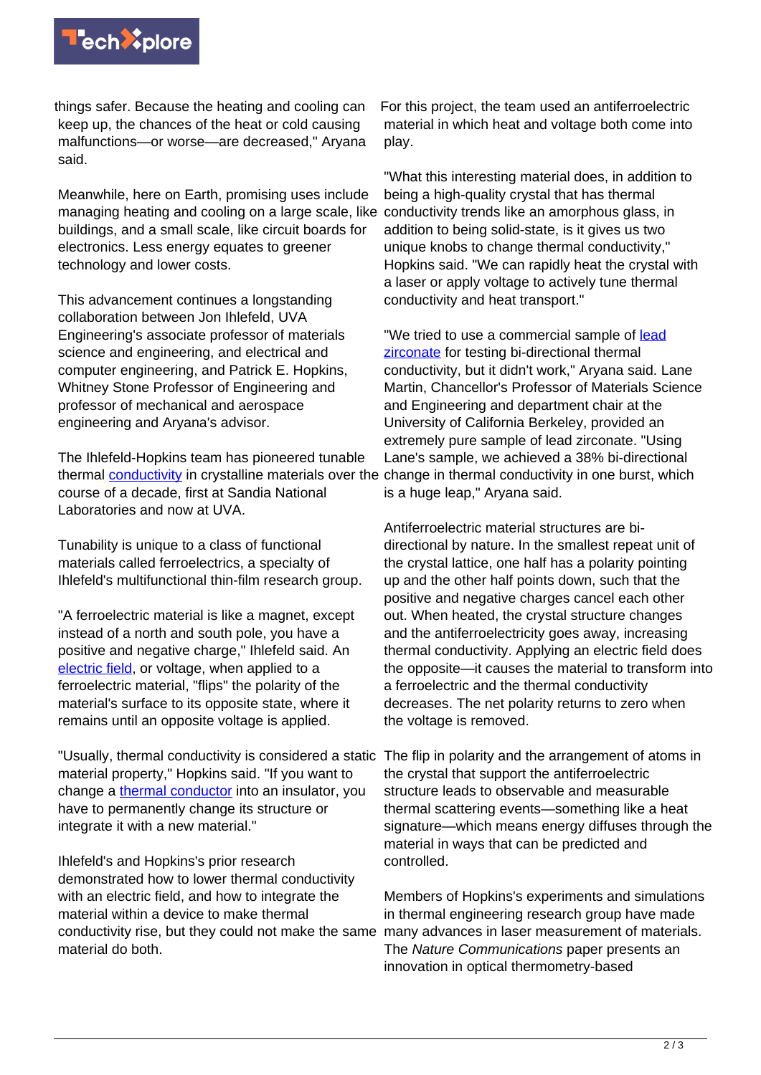

things safer. Because the heating and cooling can keep up, the chances of the heat or cold causing malfunctions—or worse—are decreased," Aryana said.

Meanwhile, here on Earth, promising uses include managing heating and cooling on a large scale, like buildings, and a small scale, like circuit boards for electronics. Less energy equates to greener technology and lower costs.

This advancement continues a longstanding collaboration between Jon Ihlefeld, UVA Engineering's associate professor of materials science and engineering, and electrical and computer engineering, and Patrick E. Hopkins, Whitney Stone Professor of Engineering and professor of mechanical and aerospace engineering and Aryana's advisor.

The Ihlefeld-Hopkins team has pioneered tunable thermal **conductivity** in crystalline materials over the course of a decade, first at Sandia National Laboratories and now at UVA.

Tunability is unique to a class of functional materials called ferroelectrics, a specialty of Ihlefeld's multifunctional thin-film research group.

"A ferroelectric material is like a magnet, except instead of a north and south pole, you have a positive and negative charge," Ihlefeld said. An [electric field](https://techxplore.com/tags/electric+field/), or voltage, when applied to a ferroelectric material, "flips" the polarity of the material's surface to its opposite state, where it remains until an opposite voltage is applied.

material property," Hopkins said. "If you want to change a [thermal conductor](https://techxplore.com/tags/thermal+conductor/) into an insulator, you have to permanently change its structure or integrate it with a new material."

Ihlefeld's and Hopkins's prior research demonstrated how to lower thermal conductivity with an electric field, and how to integrate the material within a device to make thermal conductivity rise, but they could not make the same material do both.

For this project, the team used an antiferroelectric material in which heat and voltage both come into play.

"What this interesting material does, in addition to being a high-quality crystal that has thermal conductivity trends like an amorphous glass, in addition to being solid-state, is it gives us two unique knobs to change thermal conductivity," Hopkins said. "We can rapidly heat the crystal with a laser or apply voltage to actively tune thermal conductivity and heat transport."

"We tried to use a commercial sample of [lead](https://techxplore.com/tags/lead+zirconate/) [zirconate](https://techxplore.com/tags/lead+zirconate/) for testing bi-directional thermal conductivity, but it didn't work," Aryana said. Lane Martin, Chancellor's Professor of Materials Science and Engineering and department chair at the University of California Berkeley, provided an extremely pure sample of lead zirconate. "Using Lane's sample, we achieved a 38% bi-directional change in thermal conductivity in one burst, which is a huge leap," Aryana said.

Antiferroelectric material structures are bidirectional by nature. In the smallest repeat unit of the crystal lattice, one half has a polarity pointing up and the other half points down, such that the positive and negative charges cancel each other out. When heated, the crystal structure changes and the antiferroelectricity goes away, increasing thermal conductivity. Applying an electric field does the opposite—it causes the material to transform into a ferroelectric and the thermal conductivity decreases. The net polarity returns to zero when the voltage is removed.

"Usually, thermal conductivity is considered a static The flip in polarity and the arrangement of atoms in the crystal that support the antiferroelectric structure leads to observable and measurable thermal scattering events—something like a heat signature—which means energy diffuses through the material in ways that can be predicted and controlled.

> Members of Hopkins's experiments and simulations in thermal engineering research group have made many advances in laser measurement of materials. The Nature Communications paper presents an innovation in optical thermometry-based